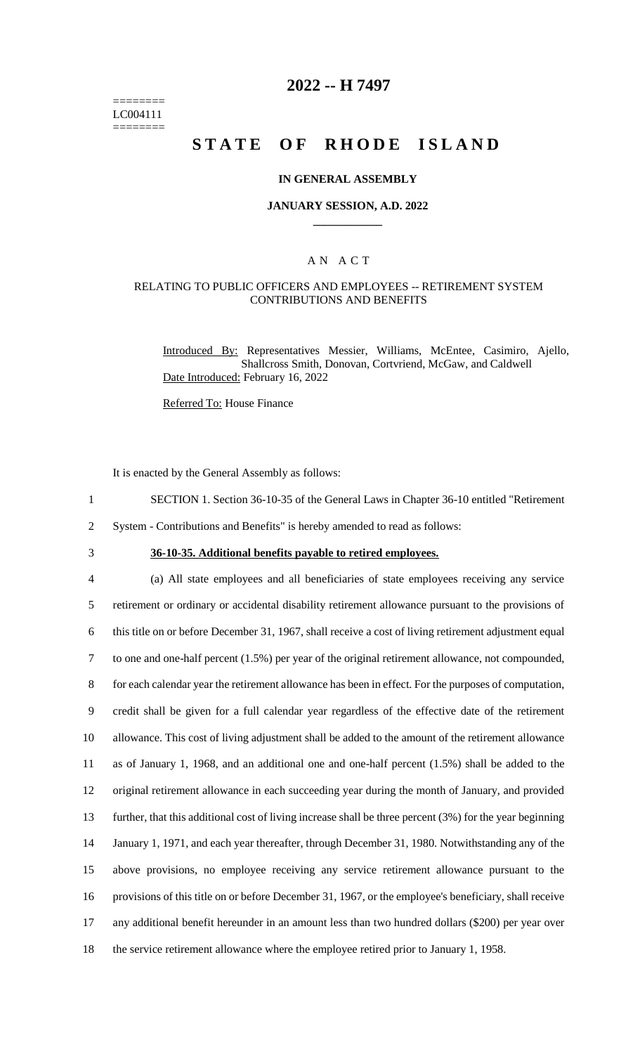======== LC004111 ========

# **2022 -- H 7497**

# **STATE OF RHODE ISLAND**

#### **IN GENERAL ASSEMBLY**

#### **JANUARY SESSION, A.D. 2022 \_\_\_\_\_\_\_\_\_\_\_\_**

### A N A C T

### RELATING TO PUBLIC OFFICERS AND EMPLOYEES -- RETIREMENT SYSTEM CONTRIBUTIONS AND BENEFITS

Introduced By: Representatives Messier, Williams, McEntee, Casimiro, Ajello, Shallcross Smith, Donovan, Cortvriend, McGaw, and Caldwell Date Introduced: February 16, 2022

Referred To: House Finance

It is enacted by the General Assembly as follows:

- 1 SECTION 1. Section 36-10-35 of the General Laws in Chapter 36-10 entitled "Retirement
- 2 System Contributions and Benefits" is hereby amended to read as follows:
- 

# 3 **36-10-35. Additional benefits payable to retired employees.**

 (a) All state employees and all beneficiaries of state employees receiving any service retirement or ordinary or accidental disability retirement allowance pursuant to the provisions of this title on or before December 31, 1967, shall receive a cost of living retirement adjustment equal to one and one-half percent (1.5%) per year of the original retirement allowance, not compounded, for each calendar year the retirement allowance has been in effect. For the purposes of computation, credit shall be given for a full calendar year regardless of the effective date of the retirement allowance. This cost of living adjustment shall be added to the amount of the retirement allowance as of January 1, 1968, and an additional one and one-half percent (1.5%) shall be added to the original retirement allowance in each succeeding year during the month of January, and provided further, that this additional cost of living increase shall be three percent (3%) for the year beginning January 1, 1971, and each year thereafter, through December 31, 1980. Notwithstanding any of the above provisions, no employee receiving any service retirement allowance pursuant to the provisions of this title on or before December 31, 1967, or the employee's beneficiary, shall receive any additional benefit hereunder in an amount less than two hundred dollars (\$200) per year over the service retirement allowance where the employee retired prior to January 1, 1958.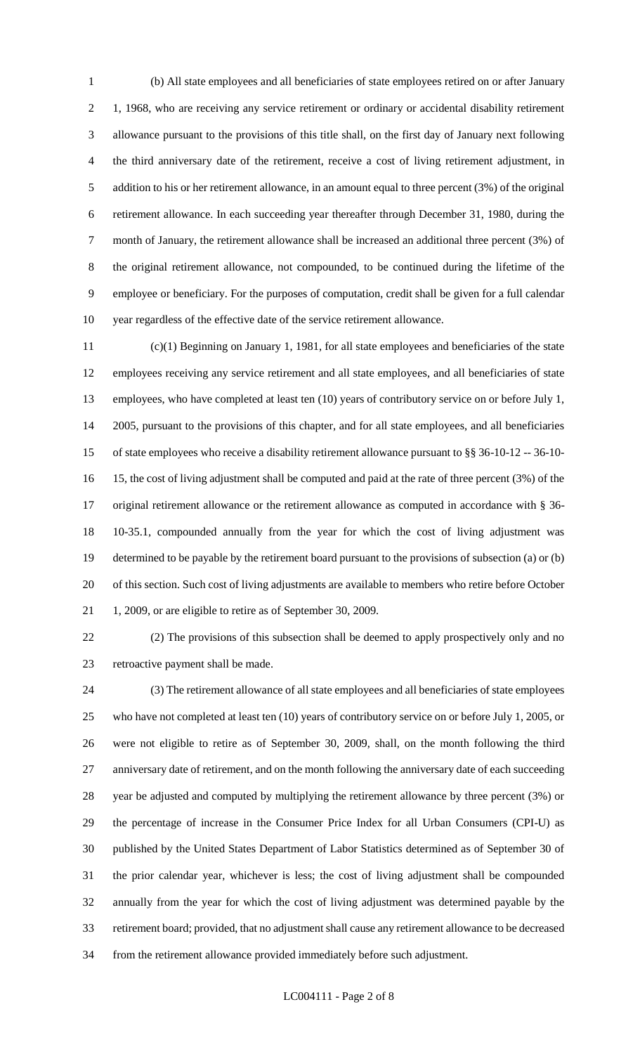(b) All state employees and all beneficiaries of state employees retired on or after January 1, 1968, who are receiving any service retirement or ordinary or accidental disability retirement allowance pursuant to the provisions of this title shall, on the first day of January next following the third anniversary date of the retirement, receive a cost of living retirement adjustment, in addition to his or her retirement allowance, in an amount equal to three percent (3%) of the original retirement allowance. In each succeeding year thereafter through December 31, 1980, during the month of January, the retirement allowance shall be increased an additional three percent (3%) of the original retirement allowance, not compounded, to be continued during the lifetime of the employee or beneficiary. For the purposes of computation, credit shall be given for a full calendar year regardless of the effective date of the service retirement allowance.

 (c)(1) Beginning on January 1, 1981, for all state employees and beneficiaries of the state employees receiving any service retirement and all state employees, and all beneficiaries of state employees, who have completed at least ten (10) years of contributory service on or before July 1, 2005, pursuant to the provisions of this chapter, and for all state employees, and all beneficiaries of state employees who receive a disability retirement allowance pursuant to §§ 36-10-12 -- 36-10- 15, the cost of living adjustment shall be computed and paid at the rate of three percent (3%) of the original retirement allowance or the retirement allowance as computed in accordance with § 36- 10-35.1, compounded annually from the year for which the cost of living adjustment was determined to be payable by the retirement board pursuant to the provisions of subsection (a) or (b) of this section. Such cost of living adjustments are available to members who retire before October 1, 2009, or are eligible to retire as of September 30, 2009.

 (2) The provisions of this subsection shall be deemed to apply prospectively only and no retroactive payment shall be made.

 (3) The retirement allowance of all state employees and all beneficiaries of state employees who have not completed at least ten (10) years of contributory service on or before July 1, 2005, or were not eligible to retire as of September 30, 2009, shall, on the month following the third anniversary date of retirement, and on the month following the anniversary date of each succeeding year be adjusted and computed by multiplying the retirement allowance by three percent (3%) or the percentage of increase in the Consumer Price Index for all Urban Consumers (CPI-U) as published by the United States Department of Labor Statistics determined as of September 30 of the prior calendar year, whichever is less; the cost of living adjustment shall be compounded annually from the year for which the cost of living adjustment was determined payable by the retirement board; provided, that no adjustment shall cause any retirement allowance to be decreased from the retirement allowance provided immediately before such adjustment.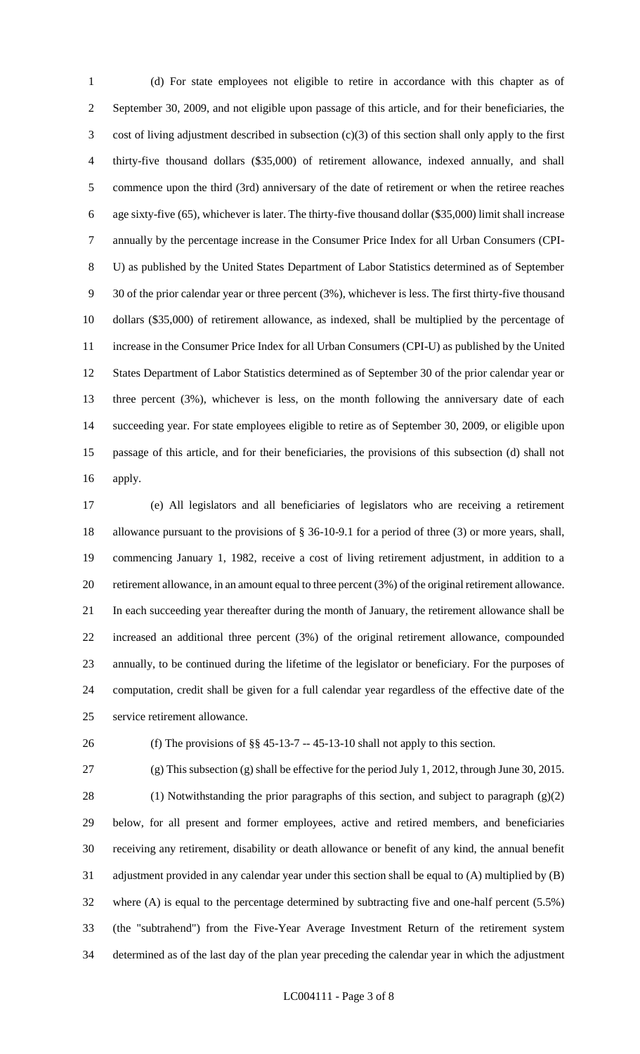(d) For state employees not eligible to retire in accordance with this chapter as of September 30, 2009, and not eligible upon passage of this article, and for their beneficiaries, the cost of living adjustment described in subsection (c)(3) of this section shall only apply to the first thirty-five thousand dollars (\$35,000) of retirement allowance, indexed annually, and shall commence upon the third (3rd) anniversary of the date of retirement or when the retiree reaches age sixty-five (65), whichever is later. The thirty-five thousand dollar (\$35,000) limit shall increase annually by the percentage increase in the Consumer Price Index for all Urban Consumers (CPI- U) as published by the United States Department of Labor Statistics determined as of September 30 of the prior calendar year or three percent (3%), whichever is less. The first thirty-five thousand dollars (\$35,000) of retirement allowance, as indexed, shall be multiplied by the percentage of increase in the Consumer Price Index for all Urban Consumers (CPI-U) as published by the United States Department of Labor Statistics determined as of September 30 of the prior calendar year or three percent (3%), whichever is less, on the month following the anniversary date of each succeeding year. For state employees eligible to retire as of September 30, 2009, or eligible upon passage of this article, and for their beneficiaries, the provisions of this subsection (d) shall not apply.

 (e) All legislators and all beneficiaries of legislators who are receiving a retirement allowance pursuant to the provisions of § 36-10-9.1 for a period of three (3) or more years, shall, commencing January 1, 1982, receive a cost of living retirement adjustment, in addition to a retirement allowance, in an amount equal to three percent (3%) of the original retirement allowance. In each succeeding year thereafter during the month of January, the retirement allowance shall be increased an additional three percent (3%) of the original retirement allowance, compounded annually, to be continued during the lifetime of the legislator or beneficiary. For the purposes of computation, credit shall be given for a full calendar year regardless of the effective date of the service retirement allowance.

(f) The provisions of §§ 45-13-7 -- 45-13-10 shall not apply to this section.

 (1) Notwithstanding the prior paragraphs of this section, and subject to paragraph (g)(2) below, for all present and former employees, active and retired members, and beneficiaries receiving any retirement, disability or death allowance or benefit of any kind, the annual benefit adjustment provided in any calendar year under this section shall be equal to (A) multiplied by (B) where (A) is equal to the percentage determined by subtracting five and one-half percent (5.5%) (the "subtrahend") from the Five-Year Average Investment Return of the retirement system determined as of the last day of the plan year preceding the calendar year in which the adjustment

(g) This subsection (g) shall be effective for the period July 1, 2012, through June 30, 2015.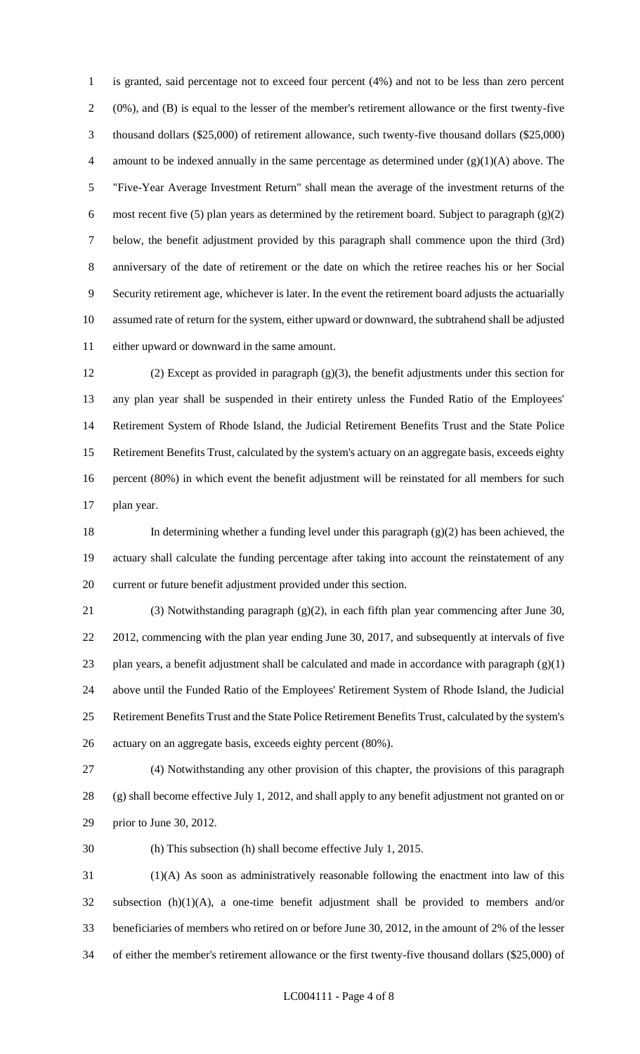is granted, said percentage not to exceed four percent (4%) and not to be less than zero percent (0%), and (B) is equal to the lesser of the member's retirement allowance or the first twenty-five thousand dollars (\$25,000) of retirement allowance, such twenty-five thousand dollars (\$25,000) 4 amount to be indexed annually in the same percentage as determined under  $(g)(1)(A)$  above. The "Five-Year Average Investment Return" shall mean the average of the investment returns of the 6 most recent five (5) plan years as determined by the retirement board. Subject to paragraph  $(g)(2)$  below, the benefit adjustment provided by this paragraph shall commence upon the third (3rd) anniversary of the date of retirement or the date on which the retiree reaches his or her Social Security retirement age, whichever is later. In the event the retirement board adjusts the actuarially assumed rate of return for the system, either upward or downward, the subtrahend shall be adjusted either upward or downward in the same amount.

 (2) Except as provided in paragraph (g)(3), the benefit adjustments under this section for any plan year shall be suspended in their entirety unless the Funded Ratio of the Employees' Retirement System of Rhode Island, the Judicial Retirement Benefits Trust and the State Police Retirement Benefits Trust, calculated by the system's actuary on an aggregate basis, exceeds eighty percent (80%) in which event the benefit adjustment will be reinstated for all members for such plan year.

 In determining whether a funding level under this paragraph (g)(2) has been achieved, the actuary shall calculate the funding percentage after taking into account the reinstatement of any current or future benefit adjustment provided under this section.

 (3) Notwithstanding paragraph (g)(2), in each fifth plan year commencing after June 30, 2012, commencing with the plan year ending June 30, 2017, and subsequently at intervals of five 23 plan years, a benefit adjustment shall be calculated and made in accordance with paragraph  $(g)(1)$  above until the Funded Ratio of the Employees' Retirement System of Rhode Island, the Judicial Retirement Benefits Trust and the State Police Retirement Benefits Trust, calculated by the system's actuary on an aggregate basis, exceeds eighty percent (80%).

 (4) Notwithstanding any other provision of this chapter, the provisions of this paragraph (g) shall become effective July 1, 2012, and shall apply to any benefit adjustment not granted on or prior to June 30, 2012.

(h) This subsection (h) shall become effective July 1, 2015.

 (1)(A) As soon as administratively reasonable following the enactment into law of this subsection (h)(1)(A), a one-time benefit adjustment shall be provided to members and/or beneficiaries of members who retired on or before June 30, 2012, in the amount of 2% of the lesser of either the member's retirement allowance or the first twenty-five thousand dollars (\$25,000) of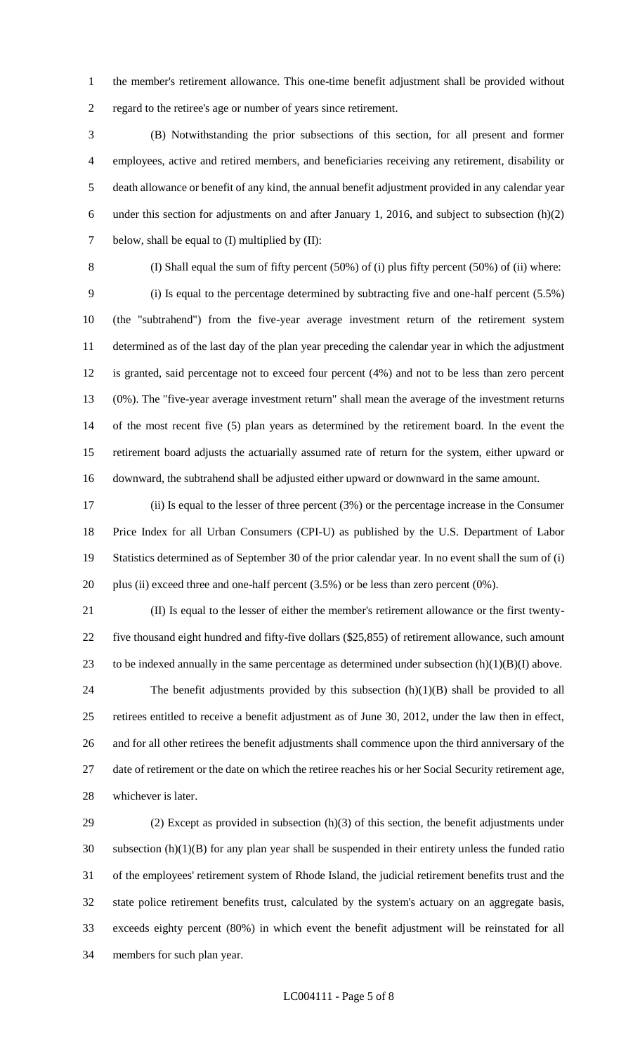the member's retirement allowance. This one-time benefit adjustment shall be provided without regard to the retiree's age or number of years since retirement.

 (B) Notwithstanding the prior subsections of this section, for all present and former employees, active and retired members, and beneficiaries receiving any retirement, disability or death allowance or benefit of any kind, the annual benefit adjustment provided in any calendar year under this section for adjustments on and after January 1, 2016, and subject to subsection (h)(2) 7 below, shall be equal to (I) multiplied by (II):

(I) Shall equal the sum of fifty percent (50%) of (i) plus fifty percent (50%) of (ii) where:

 (i) Is equal to the percentage determined by subtracting five and one-half percent (5.5%) (the "subtrahend") from the five-year average investment return of the retirement system determined as of the last day of the plan year preceding the calendar year in which the adjustment is granted, said percentage not to exceed four percent (4%) and not to be less than zero percent (0%). The "five-year average investment return" shall mean the average of the investment returns of the most recent five (5) plan years as determined by the retirement board. In the event the retirement board adjusts the actuarially assumed rate of return for the system, either upward or downward, the subtrahend shall be adjusted either upward or downward in the same amount.

 (ii) Is equal to the lesser of three percent (3%) or the percentage increase in the Consumer Price Index for all Urban Consumers (CPI-U) as published by the U.S. Department of Labor Statistics determined as of September 30 of the prior calendar year. In no event shall the sum of (i) plus (ii) exceed three and one-half percent (3.5%) or be less than zero percent (0%).

 (II) Is equal to the lesser of either the member's retirement allowance or the first twenty- five thousand eight hundred and fifty-five dollars (\$25,855) of retirement allowance, such amount 23 to be indexed annually in the same percentage as determined under subsection  $(h)(1)(B)(I)$  above.

 The benefit adjustments provided by this subsection (h)(1)(B) shall be provided to all retirees entitled to receive a benefit adjustment as of June 30, 2012, under the law then in effect, and for all other retirees the benefit adjustments shall commence upon the third anniversary of the date of retirement or the date on which the retiree reaches his or her Social Security retirement age, whichever is later.

 (2) Except as provided in subsection (h)(3) of this section, the benefit adjustments under subsection (h)(1)(B) for any plan year shall be suspended in their entirety unless the funded ratio of the employees' retirement system of Rhode Island, the judicial retirement benefits trust and the state police retirement benefits trust, calculated by the system's actuary on an aggregate basis, exceeds eighty percent (80%) in which event the benefit adjustment will be reinstated for all members for such plan year.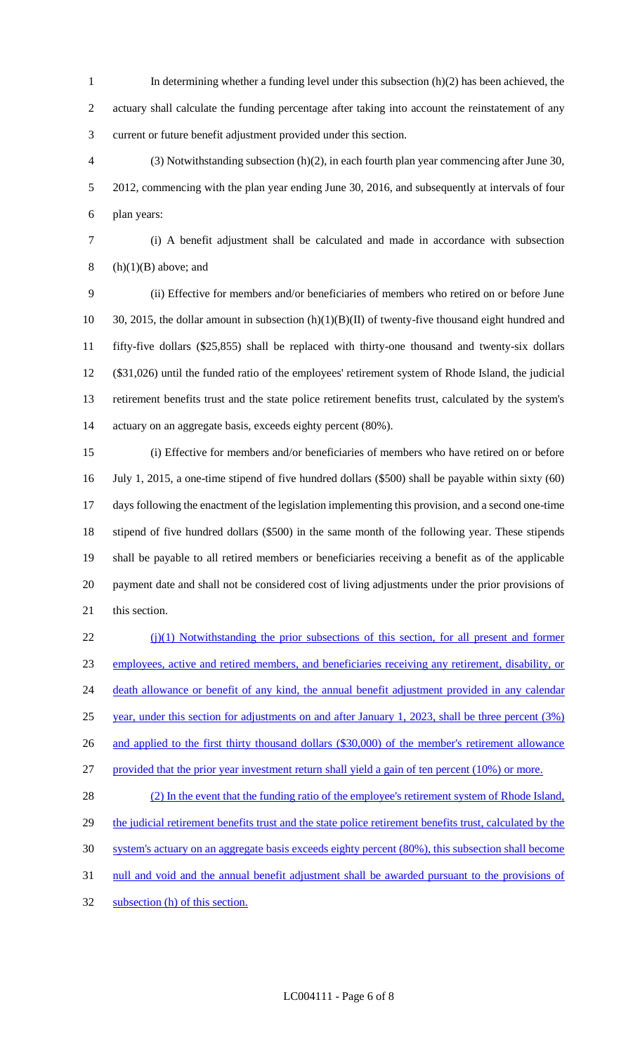- In determining whether a funding level under this subsection (h)(2) has been achieved, the actuary shall calculate the funding percentage after taking into account the reinstatement of any current or future benefit adjustment provided under this section.
- (3) Notwithstanding subsection (h)(2), in each fourth plan year commencing after June 30, 2012, commencing with the plan year ending June 30, 2016, and subsequently at intervals of four plan years:
- (i) A benefit adjustment shall be calculated and made in accordance with subsection

8 (h) $(1)(B)$  above; and

 (ii) Effective for members and/or beneficiaries of members who retired on or before June 30, 2015, the dollar amount in subsection (h)(1)(B)(II) of twenty-five thousand eight hundred and fifty-five dollars (\$25,855) shall be replaced with thirty-one thousand and twenty-six dollars (\$31,026) until the funded ratio of the employees' retirement system of Rhode Island, the judicial retirement benefits trust and the state police retirement benefits trust, calculated by the system's actuary on an aggregate basis, exceeds eighty percent (80%).

 (i) Effective for members and/or beneficiaries of members who have retired on or before July 1, 2015, a one-time stipend of five hundred dollars (\$500) shall be payable within sixty (60) days following the enactment of the legislation implementing this provision, and a second one-time stipend of five hundred dollars (\$500) in the same month of the following year. These stipends shall be payable to all retired members or beneficiaries receiving a benefit as of the applicable payment date and shall not be considered cost of living adjustments under the prior provisions of this section.

22 (j)(1) Notwithstanding the prior subsections of this section, for all present and former employees, active and retired members, and beneficiaries receiving any retirement, disability, or 24 death allowance or benefit of any kind, the annual benefit adjustment provided in any calendar year, under this section for adjustments on and after January 1, 2023, shall be three percent (3%) 26 and applied to the first thirty thousand dollars (\$30,000) of the member's retirement allowance provided that the prior year investment return shall yield a gain of ten percent (10%) or more. (2) In the event that the funding ratio of the employee's retirement system of Rhode Island,

29 the judicial retirement benefits trust and the state police retirement benefits trust, calculated by the system's actuary on an aggregate basis exceeds eighty percent (80%), this subsection shall become null and void and the annual benefit adjustment shall be awarded pursuant to the provisions of subsection (h) of this section.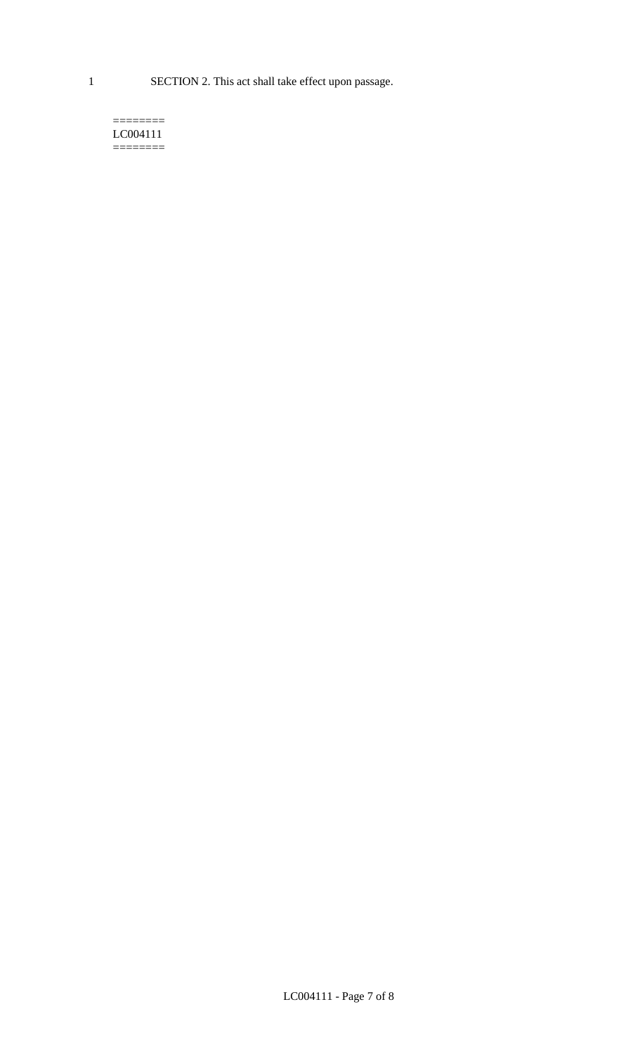1 SECTION 2. This act shall take effect upon passage.

#### $=$ LC004111  $=$

LC004111 - Page 7 of 8